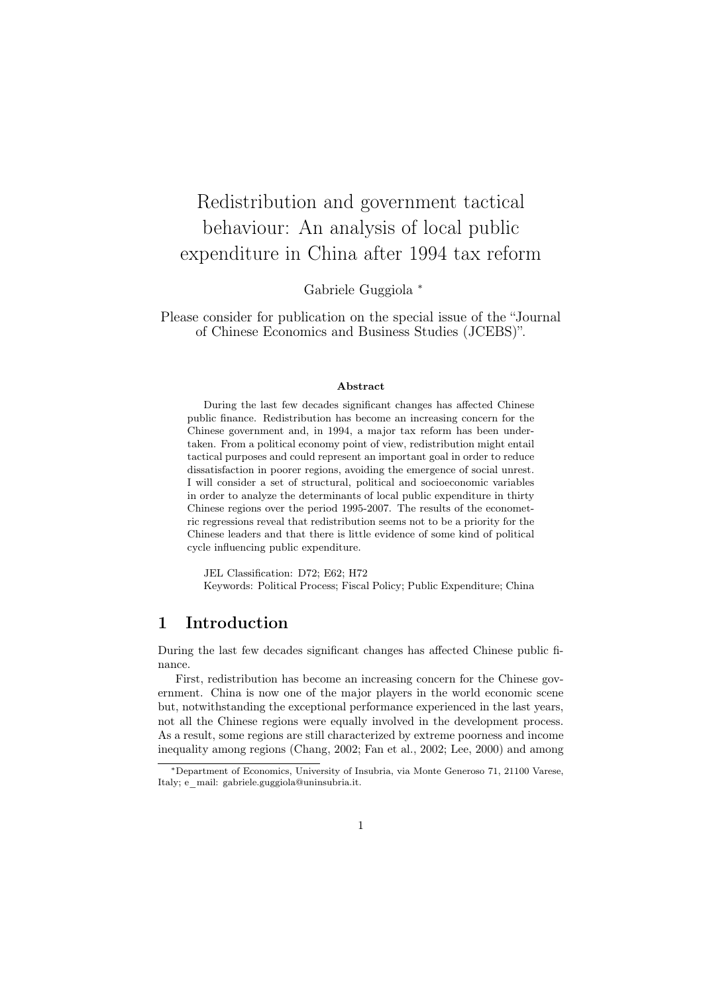# Redistribution and government tactical behaviour: An analysis of local public expenditure in China after 1994 tax reform

Gabriele Guggiola *<sup>∗</sup>*

Please consider for publication on the special issue of the "Journal of Chinese Economics and Business Studies (JCEBS)".

#### Abstract

During the last few decades significant changes has affected Chinese public finance. Redistribution has become an increasing concern for the Chinese government and, in 1994, a major tax reform has been undertaken. From a political economy point of view, redistribution might entail tactical purposes and could represent an important goal in order to reduce dissatisfaction in poorer regions, avoiding the emergence of social unrest. I will consider a set of structural, political and socioeconomic variables in order to analyze the determinants of local public expenditure in thirty Chinese regions over the period 1995-2007. The results of the econometric regressions reveal that redistribution seems not to be a priority for the Chinese leaders and that there is little evidence of some kind of political cycle influencing public expenditure.

JEL Classification: D72; E62; H72 Keywords: Political Process; Fiscal Policy; Public Expenditure; China

## 1 Introduction

During the last few decades significant changes has affected Chinese public finance.

First, redistribution has become an increasing concern for the Chinese government. China is now one of the major players in the world economic scene but, notwithstanding the exceptional performance experienced in the last years, not all the Chinese regions were equally involved in the development process. As a result, some regions are still characterized by extreme poorness and income inequality among regions (Chang, 2002; Fan et al., 2002; Lee, 2000) and among

*<sup>∗</sup>*Department of Economics, University of Insubria, via Monte Generoso 71, 21100 Varese, Italy; e\_mail: gabriele.guggiola@uninsubria.it.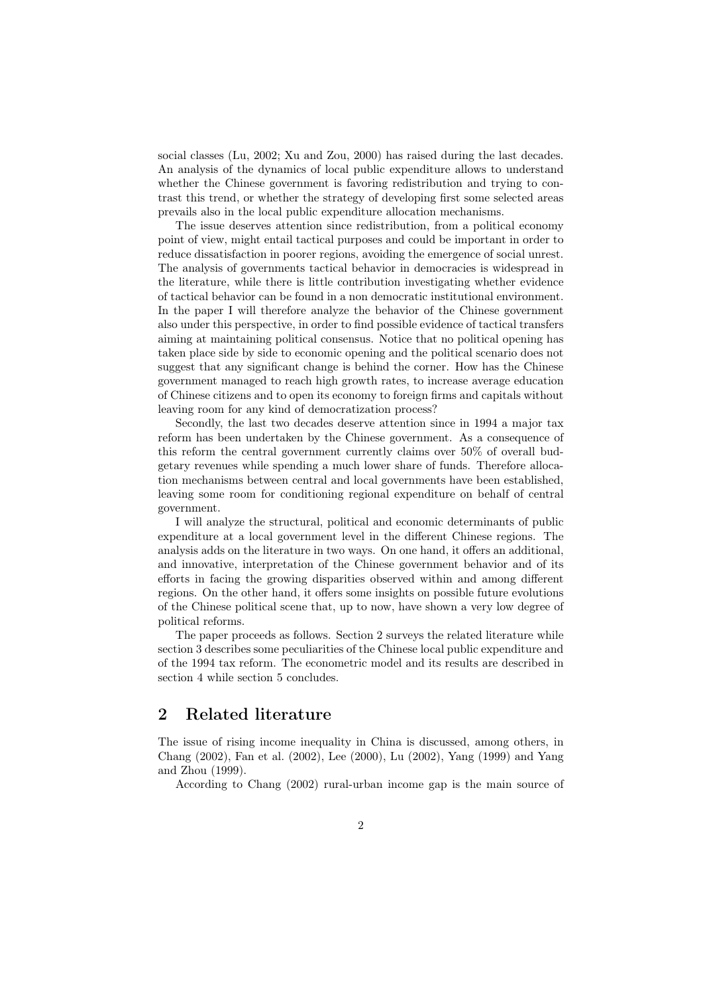social classes (Lu, 2002; Xu and Zou, 2000) has raised during the last decades. An analysis of the dynamics of local public expenditure allows to understand whether the Chinese government is favoring redistribution and trying to contrast this trend, or whether the strategy of developing first some selected areas prevails also in the local public expenditure allocation mechanisms.

The issue deserves attention since redistribution, from a political economy point of view, might entail tactical purposes and could be important in order to reduce dissatisfaction in poorer regions, avoiding the emergence of social unrest. The analysis of governments tactical behavior in democracies is widespread in the literature, while there is little contribution investigating whether evidence of tactical behavior can be found in a non democratic institutional environment. In the paper I will therefore analyze the behavior of the Chinese government also under this perspective, in order to find possible evidence of tactical transfers aiming at maintaining political consensus. Notice that no political opening has taken place side by side to economic opening and the political scenario does not suggest that any significant change is behind the corner. How has the Chinese government managed to reach high growth rates, to increase average education of Chinese citizens and to open its economy to foreign firms and capitals without leaving room for any kind of democratization process?

Secondly, the last two decades deserve attention since in 1994 a major tax reform has been undertaken by the Chinese government. As a consequence of this reform the central government currently claims over 50% of overall budgetary revenues while spending a much lower share of funds. Therefore allocation mechanisms between central and local governments have been established, leaving some room for conditioning regional expenditure on behalf of central government.

I will analyze the structural, political and economic determinants of public expenditure at a local government level in the different Chinese regions. The analysis adds on the literature in two ways. On one hand, it offers an additional, and innovative, interpretation of the Chinese government behavior and of its efforts in facing the growing disparities observed within and among different regions. On the other hand, it offers some insights on possible future evolutions of the Chinese political scene that, up to now, have shown a very low degree of political reforms.

The paper proceeds as follows. Section 2 surveys the related literature while section 3 describes some peculiarities of the Chinese local public expenditure and of the 1994 tax reform. The econometric model and its results are described in section 4 while section 5 concludes.

## 2 Related literature

The issue of rising income inequality in China is discussed, among others, in Chang (2002), Fan et al. (2002), Lee (2000), Lu (2002), Yang (1999) and Yang and Zhou (1999).

According to Chang (2002) rural-urban income gap is the main source of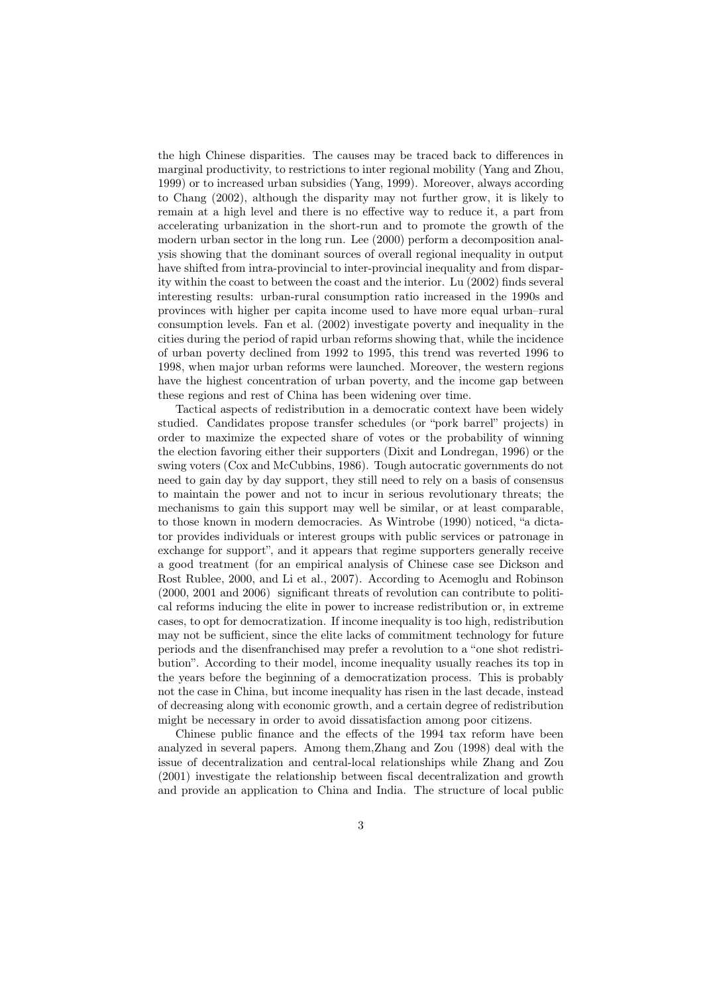the high Chinese disparities. The causes may be traced back to differences in marginal productivity, to restrictions to inter regional mobility (Yang and Zhou, 1999) or to increased urban subsidies (Yang, 1999). Moreover, always according to Chang (2002), although the disparity may not further grow, it is likely to remain at a high level and there is no effective way to reduce it, a part from accelerating urbanization in the short-run and to promote the growth of the modern urban sector in the long run. Lee (2000) perform a decomposition analysis showing that the dominant sources of overall regional inequality in output have shifted from intra-provincial to inter-provincial inequality and from disparity within the coast to between the coast and the interior. Lu (2002) finds several interesting results: urban-rural consumption ratio increased in the 1990s and provinces with higher per capita income used to have more equal urban–rural consumption levels. Fan et al. (2002) investigate poverty and inequality in the cities during the period of rapid urban reforms showing that, while the incidence of urban poverty declined from 1992 to 1995, this trend was reverted 1996 to 1998, when major urban reforms were launched. Moreover, the western regions have the highest concentration of urban poverty, and the income gap between these regions and rest of China has been widening over time.

Tactical aspects of redistribution in a democratic context have been widely studied. Candidates propose transfer schedules (or "pork barrel" projects) in order to maximize the expected share of votes or the probability of winning the election favoring either their supporters (Dixit and Londregan, 1996) or the swing voters (Cox and McCubbins, 1986). Tough autocratic governments do not need to gain day by day support, they still need to rely on a basis of consensus to maintain the power and not to incur in serious revolutionary threats; the mechanisms to gain this support may well be similar, or at least comparable, to those known in modern democracies. As Wintrobe (1990) noticed, "a dictator provides individuals or interest groups with public services or patronage in exchange for support", and it appears that regime supporters generally receive a good treatment (for an empirical analysis of Chinese case see Dickson and Rost Rublee, 2000, and Li et al., 2007). According to Acemoglu and Robinson (2000, 2001 and 2006) significant threats of revolution can contribute to political reforms inducing the elite in power to increase redistribution or, in extreme cases, to opt for democratization. If income inequality is too high, redistribution may not be sufficient, since the elite lacks of commitment technology for future periods and the disenfranchised may prefer a revolution to a "one shot redistribution". According to their model, income inequality usually reaches its top in the years before the beginning of a democratization process. This is probably not the case in China, but income inequality has risen in the last decade, instead of decreasing along with economic growth, and a certain degree of redistribution might be necessary in order to avoid dissatisfaction among poor citizens.

Chinese public finance and the effects of the 1994 tax reform have been analyzed in several papers. Among them,Zhang and Zou (1998) deal with the issue of decentralization and central-local relationships while Zhang and Zou (2001) investigate the relationship between fiscal decentralization and growth and provide an application to China and India. The structure of local public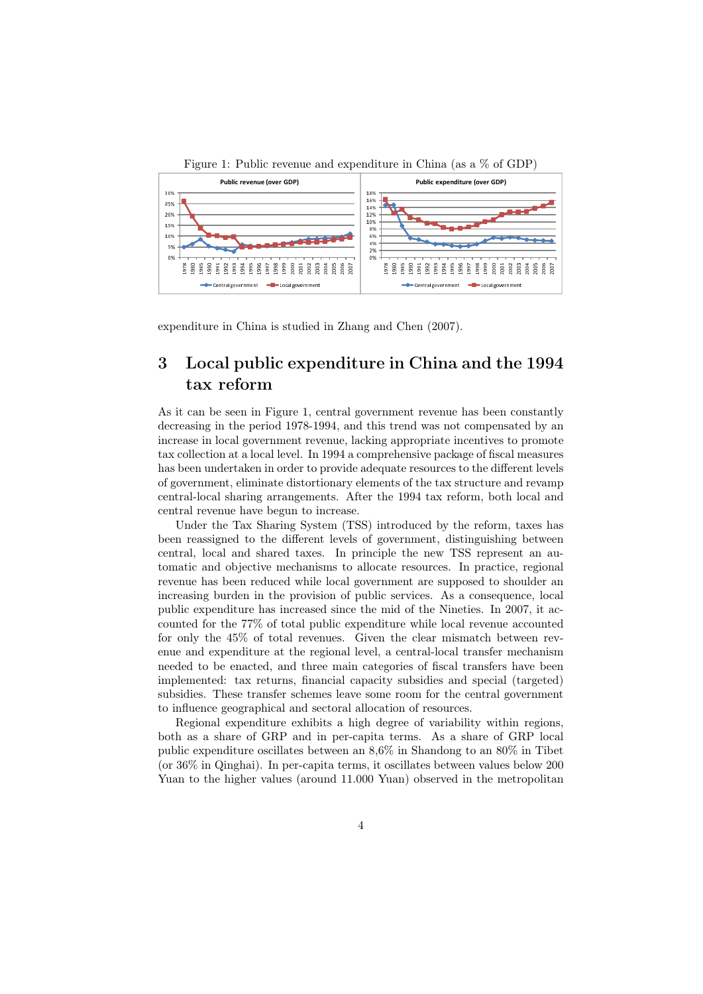

expenditure in China is studied in Zhang and Chen (2007).

# 3 Local public expenditure in China and the 1994 tax reform

As it can be seen in Figure 1, central government revenue has been constantly decreasing in the period 1978-1994, and this trend was not compensated by an increase in local government revenue, lacking appropriate incentives to promote tax collection at a local level. In 1994 a comprehensive package of fiscal measures has been undertaken in order to provide adequate resources to the different levels of government, eliminate distortionary elements of the tax structure and revamp central-local sharing arrangements. After the 1994 tax reform, both local and central revenue have begun to increase.

Under the Tax Sharing System (TSS) introduced by the reform, taxes has been reassigned to the different levels of government, distinguishing between central, local and shared taxes. In principle the new TSS represent an automatic and objective mechanisms to allocate resources. In practice, regional revenue has been reduced while local government are supposed to shoulder an increasing burden in the provision of public services. As a consequence, local public expenditure has increased since the mid of the Nineties. In 2007, it accounted for the 77% of total public expenditure while local revenue accounted for only the 45% of total revenues. Given the clear mismatch between revenue and expenditure at the regional level, a central-local transfer mechanism needed to be enacted, and three main categories of fiscal transfers have been implemented: tax returns, financial capacity subsidies and special (targeted) subsidies. These transfer schemes leave some room for the central government to influence geographical and sectoral allocation of resources.

Regional expenditure exhibits a high degree of variability within regions, both as a share of GRP and in per-capita terms. As a share of GRP local public expenditure oscillates between an 8,6% in Shandong to an 80% in Tibet (or 36% in Qinghai). In per-capita terms, it oscillates between values below 200 Yuan to the higher values (around 11.000 Yuan) observed in the metropolitan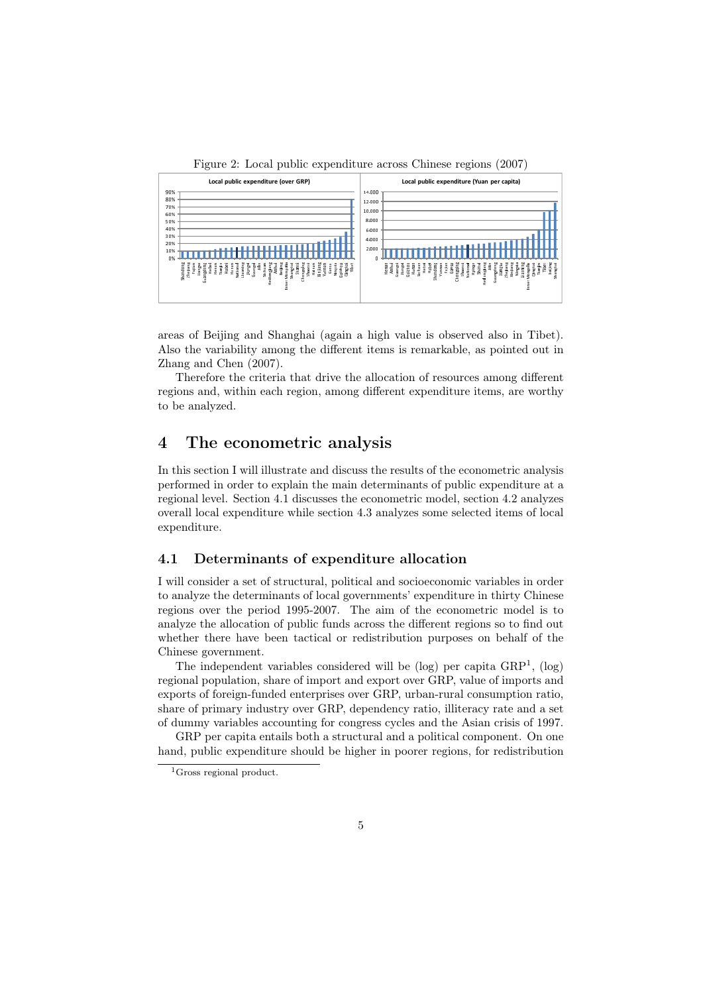

Figure 2: Local public expenditure across Chinese regions (2007)

areas of Beijing and Shanghai (again a high value is observed also in Tibet). Also the variability among the different items is remarkable, as pointed out in Zhang and Chen (2007).

Therefore the criteria that drive the allocation of resources among different regions and, within each region, among different expenditure items, are worthy to be analyzed.

# 4 The econometric analysis

In this section I will illustrate and discuss the results of the econometric analysis performed in order to explain the main determinants of public expenditure at a regional level. Section 4.1 discusses the econometric model, section 4.2 analyzes overall local expenditure while section 4.3 analyzes some selected items of local expenditure.

#### 4.1 Determinants of expenditure allocation

I will consider a set of structural, political and socioeconomic variables in order to analyze the determinants of local governments' expenditure in thirty Chinese regions over the period 1995-2007. The aim of the econometric model is to analyze the allocation of public funds across the different regions so to find out whether there have been tactical or redistribution purposes on behalf of the Chinese government.

The independent variables considered will be  $(log)$  per capita  $GRP<sup>1</sup>$ ,  $(log)$ regional population, share of import and export over GRP, value of imports and exports of foreign-funded enterprises over GRP, urban-rural consumption ratio, share of primary industry over GRP, dependency ratio, illiteracy rate and a set of dummy variables accounting for congress cycles and the Asian crisis of 1997.

GRP per capita entails both a structural and a political component. On one hand, public expenditure should be higher in poorer regions, for redistribution

<sup>1</sup>Gross regional product.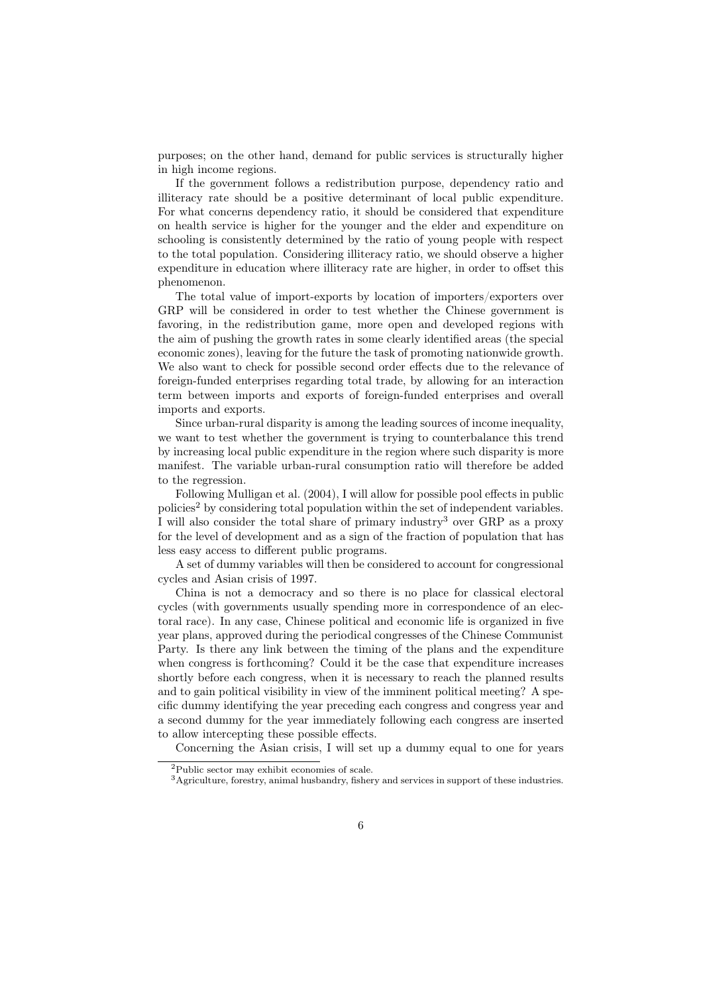purposes; on the other hand, demand for public services is structurally higher in high income regions.

If the government follows a redistribution purpose, dependency ratio and illiteracy rate should be a positive determinant of local public expenditure. For what concerns dependency ratio, it should be considered that expenditure on health service is higher for the younger and the elder and expenditure on schooling is consistently determined by the ratio of young people with respect to the total population. Considering illiteracy ratio, we should observe a higher expenditure in education where illiteracy rate are higher, in order to offset this phenomenon.

The total value of import-exports by location of importers/exporters over GRP will be considered in order to test whether the Chinese government is favoring, in the redistribution game, more open and developed regions with the aim of pushing the growth rates in some clearly identified areas (the special economic zones), leaving for the future the task of promoting nationwide growth. We also want to check for possible second order effects due to the relevance of foreign-funded enterprises regarding total trade, by allowing for an interaction term between imports and exports of foreign-funded enterprises and overall imports and exports.

Since urban-rural disparity is among the leading sources of income inequality, we want to test whether the government is trying to counterbalance this trend by increasing local public expenditure in the region where such disparity is more manifest. The variable urban-rural consumption ratio will therefore be added to the regression.

Following Mulligan et al. (2004), I will allow for possible pool effects in public policies<sup>2</sup> by considering total population within the set of independent variables. I will also consider the total share of primary industry<sup>3</sup> over GRP as a proxy for the level of development and as a sign of the fraction of population that has less easy access to different public programs.

A set of dummy variables will then be considered to account for congressional cycles and Asian crisis of 1997.

China is not a democracy and so there is no place for classical electoral cycles (with governments usually spending more in correspondence of an electoral race). In any case, Chinese political and economic life is organized in five year plans, approved during the periodical congresses of the Chinese Communist Party. Is there any link between the timing of the plans and the expenditure when congress is forthcoming? Could it be the case that expenditure increases shortly before each congress, when it is necessary to reach the planned results and to gain political visibility in view of the imminent political meeting? A specific dummy identifying the year preceding each congress and congress year and a second dummy for the year immediately following each congress are inserted to allow intercepting these possible effects.

Concerning the Asian crisis, I will set up a dummy equal to one for years

<sup>2</sup>Public sector may exhibit economies of scale.

<sup>3</sup>Agriculture, forestry, animal husbandry, fishery and services in support of these industries.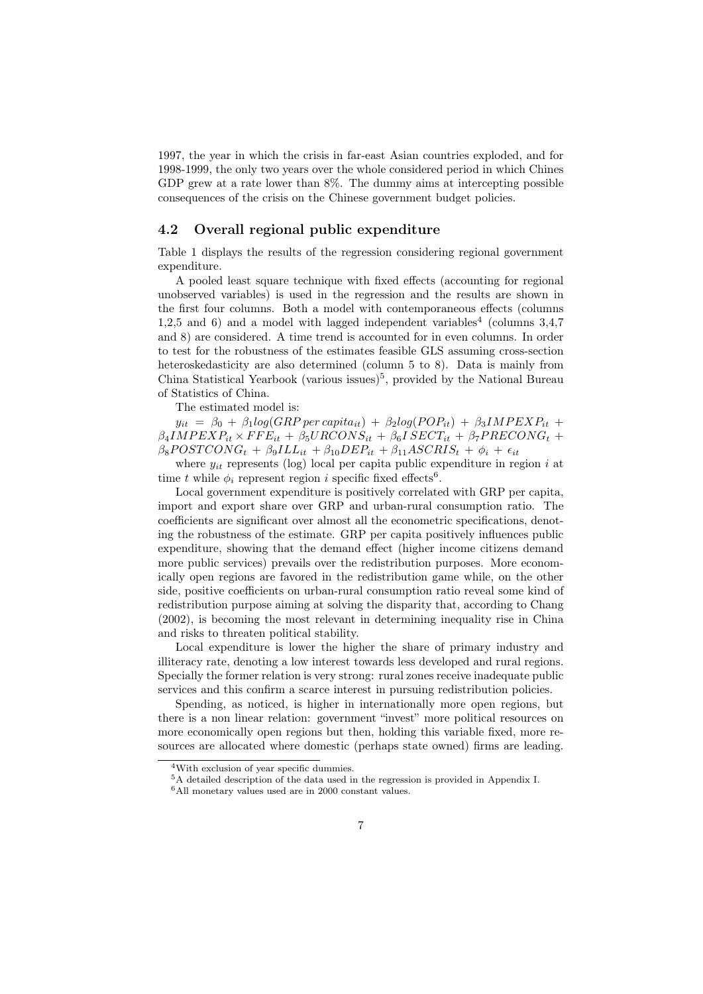1997, the year in which the crisis in far-east Asian countries exploded, and for 1998-1999, the only two years over the whole considered period in which Chines GDP grew at a rate lower than 8%. The dummy aims at intercepting possible consequences of the crisis on the Chinese government budget policies.

#### 4.2 Overall regional public expenditure

Table 1 displays the results of the regression considering regional government expenditure.

A pooled least square technique with fixed effects (accounting for regional unobserved variables) is used in the regression and the results are shown in the first four columns. Both a model with contemporaneous effects (columns 1,2,5 and 6) and a model with lagged independent variables<sup>4</sup> (columns 3,4,7) and 8) are considered. A time trend is accounted for in even columns. In order to test for the robustness of the estimates feasible GLS assuming cross-section heteroskedasticity are also determined (column 5 to 8). Data is mainly from China Statistical Yearbook (various issues)<sup>5</sup>, provided by the National Bureau of Statistics of China.

The estimated model is:

 $y_{it} = \beta_0 + \beta_1 log(GRP \text{ per } capita_{it}) + \beta_2 log(POP_{it}) + \beta_3 IMP EXP_{it} +$  $\beta_4$ *IMPEXP*<sub>it</sub> × *FFE*<sub>it</sub> +  $\beta_5$ *URCONS*<sub>it</sub> +  $\beta_6$ *I SECT*<sub>it</sub> +  $\beta_7$ *PRECONG*<sub>t</sub> +  $\beta_8$ *POSTCONG*<sup>t</sup> +  $\beta_9$ *ILL*<sub>it</sub></sup> +  $\beta_{10}$ *DEP*<sub>it</sub> +  $\beta_{11}$ *ASCRIS*<sub>t</sub> +  $\phi_i$  +  $\epsilon_{it}$ 

where  $y_{it}$  represents (log) local per capita public expenditure in region  $i$  at time *t* while  $\phi_i$  represent region *i* specific fixed effects<sup>6</sup>.

Local government expenditure is positively correlated with GRP per capita, import and export share over GRP and urban-rural consumption ratio. The coefficients are significant over almost all the econometric specifications, denoting the robustness of the estimate. GRP per capita positively influences public expenditure, showing that the demand effect (higher income citizens demand more public services) prevails over the redistribution purposes. More economically open regions are favored in the redistribution game while, on the other side, positive coefficients on urban-rural consumption ratio reveal some kind of redistribution purpose aiming at solving the disparity that, according to Chang (2002), is becoming the most relevant in determining inequality rise in China and risks to threaten political stability.

Local expenditure is lower the higher the share of primary industry and illiteracy rate, denoting a low interest towards less developed and rural regions. Specially the former relation is very strong: rural zones receive inadequate public services and this confirm a scarce interest in pursuing redistribution policies.

Spending, as noticed, is higher in internationally more open regions, but there is a non linear relation: government "invest" more political resources on more economically open regions but then, holding this variable fixed, more resources are allocated where domestic (perhaps state owned) firms are leading.

<sup>4</sup>With exclusion of year specific dummies.

<sup>5</sup>A detailed description of the data used in the regression is provided in Appendix I.

 $6$ All monetary values used are in 2000 constant values.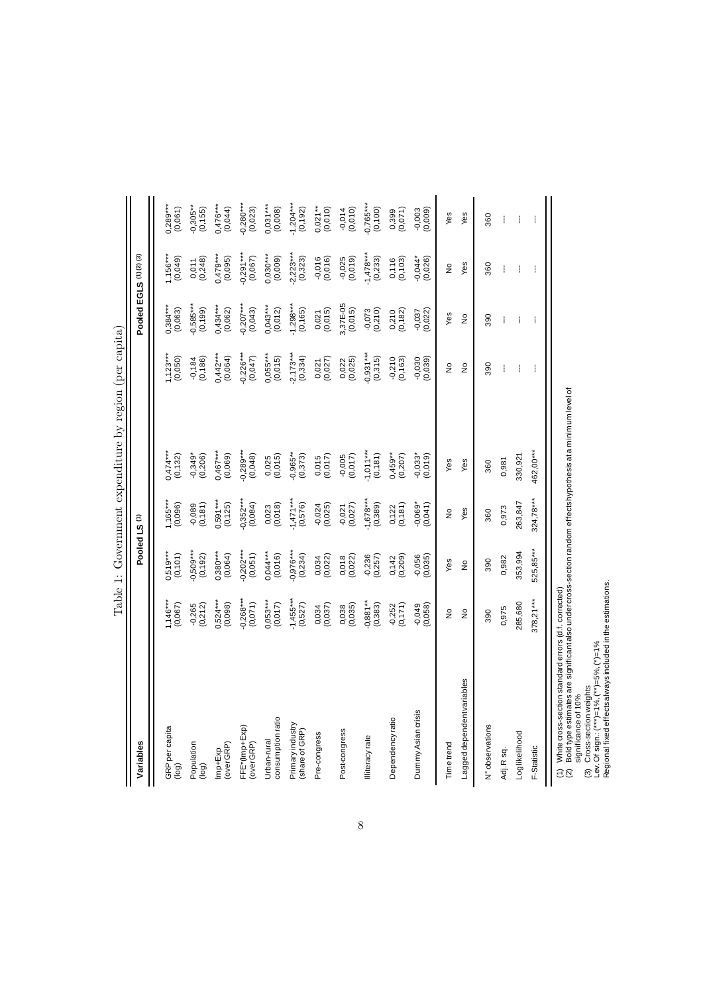| Variables                                                |                        |                        | Pooled LS <sup>(1)</sup> |                         |                         | Pooled EGLS (1)(2) (3) |                        |                        |
|----------------------------------------------------------|------------------------|------------------------|--------------------------|-------------------------|-------------------------|------------------------|------------------------|------------------------|
|                                                          |                        |                        |                          |                         |                         |                        |                        |                        |
| GRP per capita<br>jog)                                   | $1,146***$<br>(0,067)  | $0,519***$<br>(0, 101) | $,165***$<br>(0,096)     | $0,474***$<br>(0, 132)  | (0,050)                 | $0,384***$<br>(0,063)  | $1,156***$<br>(0,049)  | $0,289***$<br>(0,061)  |
| Population<br>(bol)                                      | (0,212)<br>$-0,265$    | $0,509***$<br>(0, 192) | $-0,089$<br>$(0,181)$    | $-0.349$ *<br>(0.206)   | (0, 186)<br>$-0,184$    | $0,585***$<br>(0, 199) | (0,248)<br>0,011       | $-0,305**$<br>(0, 155) |
| over GRP)<br>mp+Exp                                      | $0,524***$<br>(0,098)  | $0,380***$<br>(0,064)  | $0,591***$<br>(0, 125)   | $0,467***$<br>(0,069)   | $0,442***$<br>(0,064)   | $0,434***$<br>(0,062)  | $0,479***$<br>(0,095)  | $0,476***$<br>(0,044)  |
| FFE*(Imp+Exp)<br>over GRP)                               | $0,268***$<br>(0,071)  | $0,202***$<br>(0,051)  | $0,352***$<br>(0,084)    | $-0,289***$<br>(0,048)  | $-0,226***$<br>(0,047)  | $-0,207***$<br>(0,043) | $-0,291***$<br>(0,067) | $-0,280***$<br>(0,023) |
| consumption ratio<br>Urban-rural                         | $0,053***$<br>(0,017)  | $0,044***$<br>(0,016)  | $0,023$<br>$(0,018)$     | $0,025$<br>$(0,015)$    | $0,055***$<br>(0,015)   | $0,043***$<br>(0,012)  | $0,030***$<br>(0,009)  | $0,031***$<br>(0,008)  |
| Primary industry<br>(share of GRP)                       | $-1,455***$<br>(0,527) | $-0,976***$<br>(0,234) | $-1,471***$<br>(0,576)   | $-0,965**$<br>$(0,373)$ | $-2,173***$<br>(0,334)  | $-1,298***$<br>(0,165) | $-2,223***$<br>(0,323) | $-1,204***$<br>(0,192) |
| Pre-congress                                             | (0,037)<br>0,034       | $0,034$<br>$(0,022)$   | $-0,024$<br>$(0,025)$    | $0,015$<br>$(0,017)$    | $0,021$<br>$(0,027)$    | $0,021$<br>$(0,015)$   | $-0,016$<br>$(0,016)$  | $0,021**$<br>(0,010)   |
| Post-congress                                            | (0,035)<br>0,038       | (0,022)<br>0,018       | $-0,021$<br>$(0,027)$    | (0.017)                 | 0,022<br>(0,025)        | 3,37E-05<br>(0,015)    | $-0,025$<br>(0,019)    | $-0,014$<br>(0,010)    |
| lliteracy rate                                           | $0,881**$<br>(0, 383)  | $-0,236$<br>(0, 257)   | $-1,678***$<br>(0,389)   | $1,011***$<br>(0, 181)  | $-0,931***$<br>(0,315)  | $-0,073$<br>$(0,210)$  | $-1,478***$<br>(0,233) | $-0,765***$<br>(0,100) |
| Dependency ratio                                         | $-0,252$<br>$(0,171)$  | (0, 209)<br>0,142      | $0,122$<br>$(0,181)$     | $0,459**$<br>$(0,207)$  | $-0,210$<br>$(0,163)$   | $0,210$<br>$(0,182)$   | $0,116$<br>$(0,103)$   | 0,399<br>(0,071)       |
| Dummy Asian crisis                                       | $-0,049$<br>(0,058)    | $-0,056$<br>$(0,035)$  | $-0,069*$<br>$(0,041)$   | $-0.033$ * $(0.019)$    | $-0,030$<br>$(0,050,0)$ | $-0,037$<br>$(0,022)$  | $-0,044*$<br>(0,026)   | $-0,003$<br>$(0,009)$  |
| Timetrend                                                | $\frac{1}{2}$          | Yes                    | $\frac{1}{2}$            | Yes                     | $\frac{1}{2}$           | Yes                    | $\frac{1}{2}$          | Yes                    |
| Lagged dependentvariables                                | $\frac{1}{2}$          | $\frac{1}{2}$          | Yes                      | Yes                     | $\frac{1}{2}$           | $\frac{1}{2}$          | Yes                    | Yes                    |
| N° observations                                          | 390                    | 390                    | 360                      | 360                     | 390                     | 390                    | 360                    | 360                    |
| Adj. R sq.                                               | 0,975                  | 0,982                  | 0,973                    | 0,981                   | ł                       | ł                      | ł                      | ŧ                      |
| Log likelihood                                           | 285,680                | 353,994                | 263,847                  | 330,921                 | I                       | ŧ                      | ł                      | ŧ                      |
| F-Statistic                                              | $378,21***$            | 525,85***              | 324,78***                | 462,00***               | I                       | I                      | I                      |                        |
| (1) White cross-section standard errors (d.f. corrected) |                        |                        |                          |                         |                         |                        |                        |                        |

Table 1: Government expenditure by region (per capita) Table 1: Government expenditure by region (per capita)

(2) Bold type estimates are significant also under cross-section random effects hypothesis at a minimum level of (1) white cross-section standard errors (d.r. corrected)<br>(2) Boldtype estates are significant also under cross-section random effects hypothesis at a minimum level of<br>(3) Cross-section weights<br>Lev. Of sign.: (\*\*\*)=1%, (\*\*)

(3) Cross-section weights

Lev. Of sign.: (\*\*\*)=1%, (\*\*)=5%, (\*)=1%<br>Regional fixed effects always included i Regional fixed effects always included in the estimations.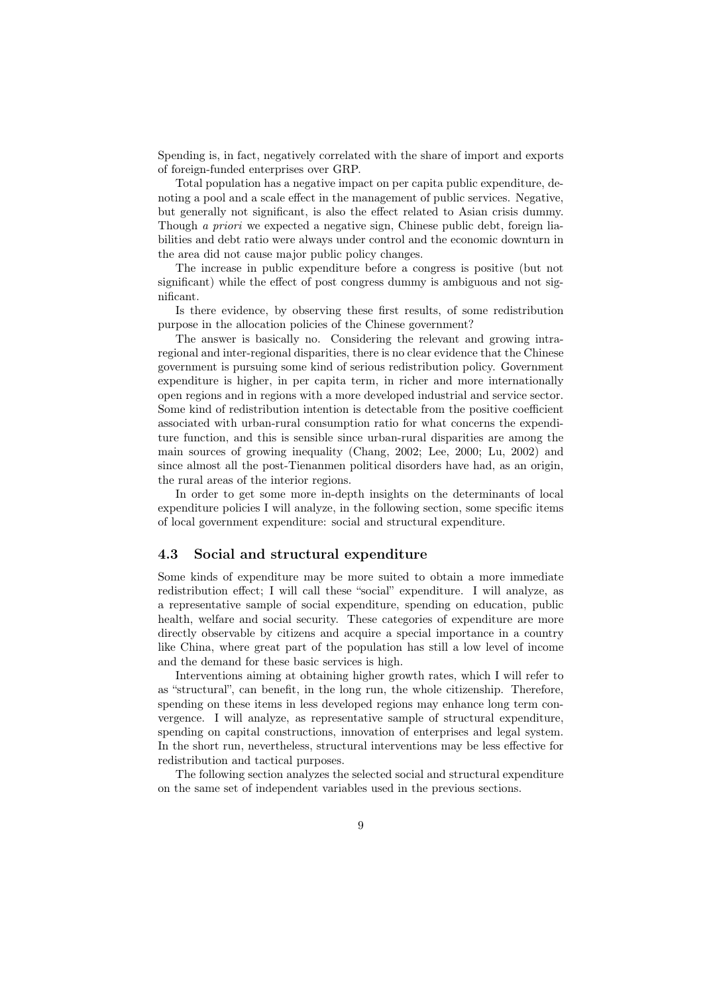Spending is, in fact, negatively correlated with the share of import and exports of foreign-funded enterprises over GRP.

Total population has a negative impact on per capita public expenditure, denoting a pool and a scale effect in the management of public services. Negative, but generally not significant, is also the effect related to Asian crisis dummy. Though *a priori* we expected a negative sign, Chinese public debt, foreign liabilities and debt ratio were always under control and the economic downturn in the area did not cause major public policy changes.

The increase in public expenditure before a congress is positive (but not significant) while the effect of post congress dummy is ambiguous and not significant.

Is there evidence, by observing these first results, of some redistribution purpose in the allocation policies of the Chinese government?

The answer is basically no. Considering the relevant and growing intraregional and inter-regional disparities, there is no clear evidence that the Chinese government is pursuing some kind of serious redistribution policy. Government expenditure is higher, in per capita term, in richer and more internationally open regions and in regions with a more developed industrial and service sector. Some kind of redistribution intention is detectable from the positive coefficient associated with urban-rural consumption ratio for what concerns the expenditure function, and this is sensible since urban-rural disparities are among the main sources of growing inequality (Chang, 2002; Lee, 2000; Lu, 2002) and since almost all the post-Tienanmen political disorders have had, as an origin, the rural areas of the interior regions.

In order to get some more in-depth insights on the determinants of local expenditure policies I will analyze, in the following section, some specific items of local government expenditure: social and structural expenditure.

#### 4.3 Social and structural expenditure

Some kinds of expenditure may be more suited to obtain a more immediate redistribution effect; I will call these "social" expenditure. I will analyze, as a representative sample of social expenditure, spending on education, public health, welfare and social security. These categories of expenditure are more directly observable by citizens and acquire a special importance in a country like China, where great part of the population has still a low level of income and the demand for these basic services is high.

Interventions aiming at obtaining higher growth rates, which I will refer to as "structural", can benefit, in the long run, the whole citizenship. Therefore, spending on these items in less developed regions may enhance long term convergence. I will analyze, as representative sample of structural expenditure, spending on capital constructions, innovation of enterprises and legal system. In the short run, nevertheless, structural interventions may be less effective for redistribution and tactical purposes.

The following section analyzes the selected social and structural expenditure on the same set of independent variables used in the previous sections.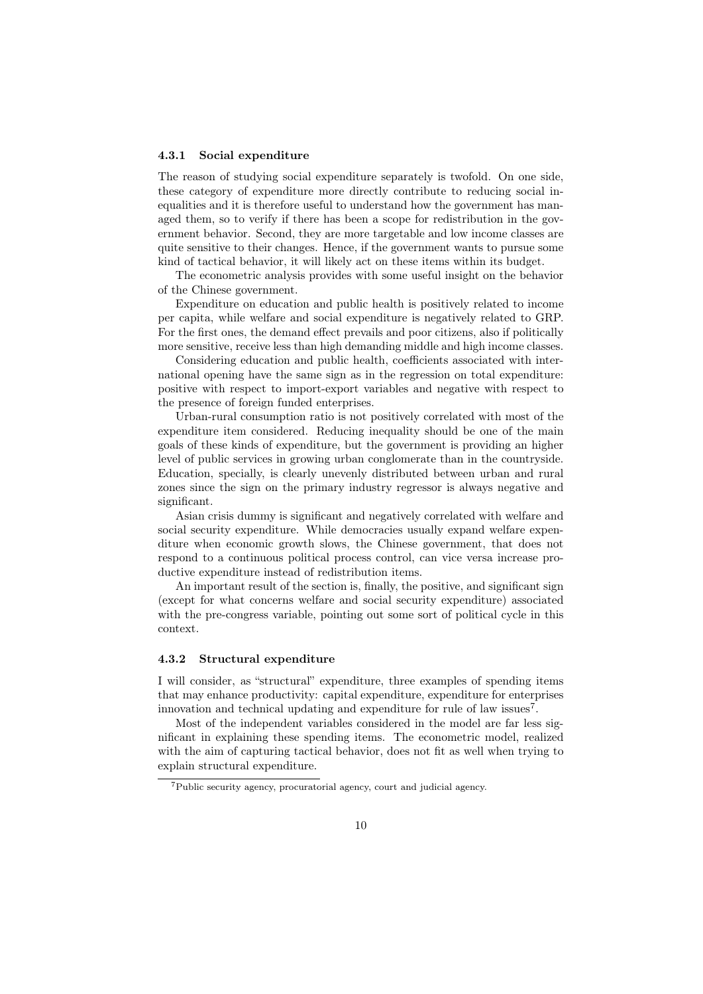#### 4.3.1 Social expenditure

The reason of studying social expenditure separately is twofold. On one side, these category of expenditure more directly contribute to reducing social inequalities and it is therefore useful to understand how the government has managed them, so to verify if there has been a scope for redistribution in the government behavior. Second, they are more targetable and low income classes are quite sensitive to their changes. Hence, if the government wants to pursue some kind of tactical behavior, it will likely act on these items within its budget.

The econometric analysis provides with some useful insight on the behavior of the Chinese government.

Expenditure on education and public health is positively related to income per capita, while welfare and social expenditure is negatively related to GRP. For the first ones, the demand effect prevails and poor citizens, also if politically more sensitive, receive less than high demanding middle and high income classes.

Considering education and public health, coefficients associated with international opening have the same sign as in the regression on total expenditure: positive with respect to import-export variables and negative with respect to the presence of foreign funded enterprises.

Urban-rural consumption ratio is not positively correlated with most of the expenditure item considered. Reducing inequality should be one of the main goals of these kinds of expenditure, but the government is providing an higher level of public services in growing urban conglomerate than in the countryside. Education, specially, is clearly unevenly distributed between urban and rural zones since the sign on the primary industry regressor is always negative and significant.

Asian crisis dummy is significant and negatively correlated with welfare and social security expenditure. While democracies usually expand welfare expenditure when economic growth slows, the Chinese government, that does not respond to a continuous political process control, can vice versa increase productive expenditure instead of redistribution items.

An important result of the section is, finally, the positive, and significant sign (except for what concerns welfare and social security expenditure) associated with the pre-congress variable, pointing out some sort of political cycle in this context.

#### 4.3.2 Structural expenditure

I will consider, as "structural" expenditure, three examples of spending items that may enhance productivity: capital expenditure, expenditure for enterprises innovation and technical updating and expenditure for rule of law issues<sup>7</sup>.

Most of the independent variables considered in the model are far less significant in explaining these spending items. The econometric model, realized with the aim of capturing tactical behavior, does not fit as well when trying to explain structural expenditure.

<sup>7</sup>Public security agency, procuratorial agency, court and judicial agency.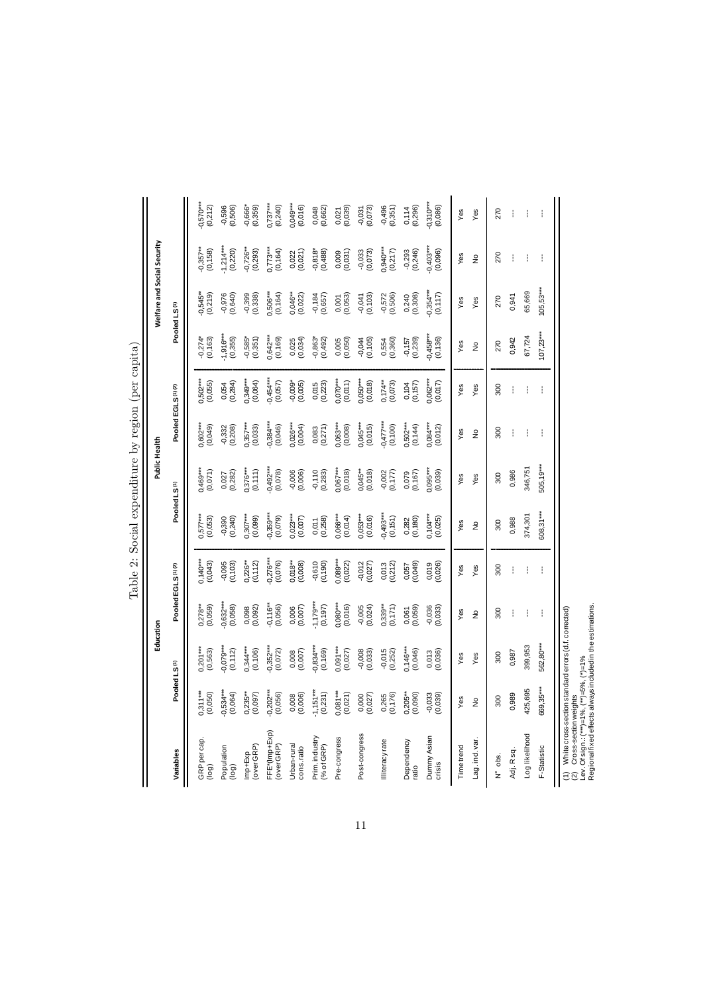|                                                                                                                                                                                 |                          | Education               |                         |                               |                         | Public Health            | ò                             |                         |                         | Welfare and Social Security |                         |                        |
|---------------------------------------------------------------------------------------------------------------------------------------------------------------------------------|--------------------------|-------------------------|-------------------------|-------------------------------|-------------------------|--------------------------|-------------------------------|-------------------------|-------------------------|-----------------------------|-------------------------|------------------------|
| Variables                                                                                                                                                                       | Pooled LS <sup>(1)</sup> |                         |                         | Pooled EGLS <sup>(1)(2)</sup> |                         | Pooled LS <sup>(1)</sup> | Pooled EGLS <sup>(1)(2)</sup> |                         |                         | Pooled LS <sup>(1)</sup>    |                         |                        |
| GRPpercap.<br>(log)                                                                                                                                                             | $0,311***$<br>(0,050)    | $0,201***$<br>$(0,563)$ | $0,278***$<br>(0,059)   | $0,140***$<br>(0,043)         | $0,577***$<br>(0,053)   | 0,469***<br>(0,071)      | $0,602***$<br>(0,049)         | 0,502***<br>(0,055)     | $-0,274*$<br>(0, 163)   | $0,545***$<br>(0,219)       | $-0,357**$<br>$(0,158)$ | $0,570***$<br>(0,212)  |
| Population<br>(log)                                                                                                                                                             | $-0,534***$<br>(0,064)   | $0,079***$<br>(0,112)   | $-0,632***$<br>(0,058)  | $-0,095$<br>(0, 103)          | (0, 240)<br>$-0,390$    | (0,282)<br>0,027         | $-0,332$<br>$(0,208)$         | $0,054$<br>$(0,284)$    | $-4,916***$<br>(0,355)  | $-0,976$<br>$(0,640)$       | $-1,214***$<br>(0,220)  | $-0,596$<br>(0,506)    |
| Imp+Exp<br>(over GRP)                                                                                                                                                           | $0,235***$<br>(0,097)    | $0,344***$<br>(0, 106)  | 0,098<br>(0,092)        | $0,226**$<br>(0, 112)         | $0,307***$<br>(0,099)   | $376***$<br>(0, 111)     | $0,357***$<br>(0,033)         | $0,349***$<br>(0,064)   | $0,585*$<br>(0,351)     | $-0,399$<br>$(0,338)$       | $-0,726**$              | $-0,666*$<br>(0,359)   |
| FFE*(Imp+Exp)<br>(over GRP)                                                                                                                                                     | $0,202***$<br>(0,056)    | $0,352***$<br>(0,072)   | $0,116***$<br>(0,056)   | $0,276***$<br>(0,076)         | $0,359***$<br>(0,079)   | $0,492***$<br>$(0,078)$  | $0,384***$<br>(0,046)         | $0,454***$<br>(0,057)   | $0,642***$<br>(0, 169)  | $3,506***$<br>(0, 164)      | $0,773***$              | $0,737***$<br>(0.240)  |
| Urban-rural<br>cons. ratio                                                                                                                                                      | (0,006)<br>0,008         | $0,008$<br>$(0,007)$    | $0,006$<br>$(0,007)$    | $0,018***$<br>$(0,008)$       | $0,023***$<br>(0,007)   | $-0,006$<br>(0,006)      | $0,026***$<br>(0,004)         | $-0,009*$<br>$(0,005)$  | $0,025$<br>$(0,034)$    | $0,046**$<br>(0,022)        | $0,022$<br>$(0,021)$    | $0,049***$<br>(0,016)  |
| Prim.industry<br>(% of GRP)                                                                                                                                                     | $-1,151***$<br>(0,231)   | $0,834***$<br>(0,169)   | (0, 197)                | $-0.610$<br>$(0.190)$         | $0,011$<br>$(0,258)$    | (0,283)<br>$-0,110$      | $0,083$<br>$(0,271)$          | $0,015$<br>$(0,223)$    | $-0,863*$<br>(9,492)    | $-0,184$<br>(0,657)         | $-0,818*$<br>$(0,488)$  | $0,048$<br>$(0,662)$   |
| Pre-congress                                                                                                                                                                    | $0,081***$<br>$(0,021)$  | $0,091***$<br>(0,027)   | $0,080***$<br>$(0,016)$ | $0,089***$<br>$(0,022)$       | $0,066***$<br>(0,014)   | $0,067***$<br>(0,018)    | $0,063***$<br>(0,008)         | $0,070***$<br>(0,011)   | $0,005$<br>$(0,050)$    | $0,001$<br>$(0,053)$        | $0,009$<br>$(0,031)$    | $0,021$<br>$(0,039)$   |
| Post-congress                                                                                                                                                                   | $0,000$<br>$(0,027)$     | $-0,008$<br>$(0,033)$   | $-0,005$<br>$(0,024)$   | $-0.012$<br>$(0.027)$         | $0,053***$<br>$(0,016)$ | $0,045**$<br>(0,018)     | $0,045***$<br>(0,015)         | $0,050***$<br>$(0,018)$ | $-0,044$<br>$(0,105)$   | $-0,041$<br>$(0,103)$       | $-0,033$<br>$(0,073)$   | $-0,031$<br>$(0,073)$  |
| lliteracy rate                                                                                                                                                                  | 0,265<br>(0,176)         | $-0,015$<br>$(0,252)$   | $0,339***$<br>$(0,171)$ | (0,212)<br>0,013              | $-0,493***$<br>(0, 151) | $-0,002$<br>$(0,177)$    | (0,100)                       | $0,174**$<br>(0,073)    | 0,554<br>(0,360)        | $-0,572$<br>(0,506)         | 0,940***<br>(0,217)     | $-0,496$<br>$(0,351)$  |
| Dependency<br>ratio                                                                                                                                                             | $0,205**$<br>(0,090)     | $0,146***$<br>0,046)    | $0,061$<br>$(0,069)$    | (0,049)<br>0,057              | (0, 180)<br>0,282       | 0,079<br>(0, 167)        | $0,502***$<br>(0,144)         | $0,104$<br>$(0,157)$    | (0,239)<br>$-0,157$     | 0,240<br>(0,308)            | $-0,293$<br>$(0,246)$   | $0,114$<br>$(0,296)$   |
| Dummy Asian<br>crisis                                                                                                                                                           | $-0,033$<br>$(0,039)$    | (0,036)<br>0,013        | $-0,036$<br>$(0,033)$   | (0,026)<br>0,019              | $0,104***$<br>(0,025)   | $0.095***$<br>(0,039)    | $0,084***$<br>(0,012)         | $0,062***$<br>(0,017)   | $-0,458***$<br>(0, 136) | $0,354***$<br>(0, 117)      | $-0,403***$             | $-0,310***$<br>(0,086) |
| Timetrend                                                                                                                                                                       | Yes                      | Yes                     | Yes                     | Yes                           | Yes                     | Yes                      | Yes                           | Yes                     | Yes                     | Yes                         | Yes                     | Yes                    |
| Lag.ind.var.                                                                                                                                                                    | $\frac{1}{2}$            | Yes                     | $\frac{1}{2}$           | Yes                           | $\frac{1}{2}$           | Yes                      | $\frac{1}{2}$                 | Yes                     | $\frac{1}{2}$           | Yes                         | $\frac{1}{2}$           | Yes                    |
| $N^{\circ}$ ots.                                                                                                                                                                | 300                      | 300                     | 300                     | 300                           | 300                     | 300                      | 300                           | 300                     | 270                     | 270                         | 270                     | 270                    |
| Adj. Rsq.                                                                                                                                                                       | 0,989                    | 0,987                   | ł                       | ł                             | 0,988                   | 0,986                    | ŧ                             | ÷                       | 0,942                   | 0,941                       | ŧ                       | Í                      |
| Log likelihood                                                                                                                                                                  | 425,695                  | 399,953                 | í                       |                               | 374,301                 | 346,751                  | ŧ                             | ŧ                       | 67,724                  | 65,669                      | ŧ                       | ł                      |
| F-Statistic                                                                                                                                                                     | 569,35***                | 562,80***               | Ť                       | ŧ                             | 608,31***               | $505,19***$              | ŧ                             | ŧ                       | $107,23***$             | $105,53***$                 | ŧ                       | ł                      |
| (1) White cross-section standard errors (c1. correcreu)<br>(2) Cross-section weight:<br>(2) Cross-section weight:<br>Regional fixed effects always included in the estimations. |                          |                         |                         |                               |                         |                          |                               |                         |                         |                             |                         |                        |

Table 2: Social expenditure by region (per capita) Table 2: Social expenditure by region (per capita)

11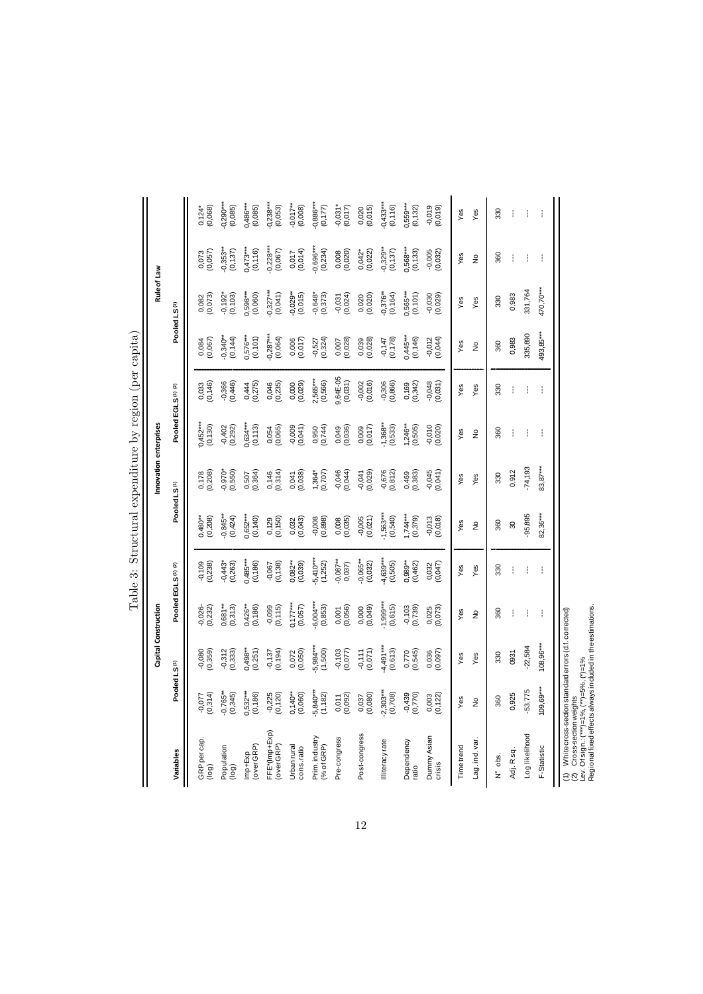|                                                                                                                                                       |                                                       | Capital Construction   |                          |                         |                        | Innovation enterprises   |                                           |                       |                        | Rule of Law              |                            |                          |
|-------------------------------------------------------------------------------------------------------------------------------------------------------|-------------------------------------------------------|------------------------|--------------------------|-------------------------|------------------------|--------------------------|-------------------------------------------|-----------------------|------------------------|--------------------------|----------------------------|--------------------------|
| Variables                                                                                                                                             | Pooled LS <sup>(1)</sup>                              |                        |                          | Pooled EGLS(1) (2)      |                        | Pooled LS <sup>(1)</sup> | Pooled EGLS <sup>(1)</sup> <sup>(2)</sup> |                       |                        | Pooled LS <sup>(1)</sup> |                            |                          |
| GRPpercap.<br>(log)                                                                                                                                   | (0,314)<br>$-0,077$                                   | (656.0)                | $-0.026 - 0.020$         | $-0,109$<br>$(0,238)$   | $0.480***$<br>(0, 208) | (0,208)<br>0,178         | $0,452***$<br>(0, 130)                    | 0,033<br>(0,146)      | (0,067)<br>0,084       | (0,073)<br>0,082         | 0,073<br>(0,057)           | $0,124$ *<br>$(0,068)$   |
| Population<br>(log)                                                                                                                                   | $-0,765**$<br>(0,345)                                 | $-0,312$<br>$(0,333)$  | $0,681**$<br>$(0,313)$   | $-0,443*$<br>$(0,263)$  | $-0.845**$<br>(0,424)  | $-0.970*$<br>(0,550)     | $-0,402$<br>(0,292)                       | $-0,366$<br>$(0,446)$ | $-0,340**$<br>(0, 144) | (0, 103)<br>$-0,192*$    | $(0, 353**$                | $0.290***$<br>(0,085)    |
| (over GRP)<br>Imp+Exp                                                                                                                                 | $0,532***$<br>(0, 186)                                | $0,498**$<br>$(0,251)$ | $0,426**$<br>$(0,186)$   | 0,485***<br>(0,186)     | $0,652***$<br>(0, 140) | $0,507$<br>$(0,364)$     | $0,634***$<br>(0,113)                     | (0, 275)              | $0,576***$<br>(0,101)  | 0,598***                 | $0,473***$<br>(0,116)      | $0,486***$<br>(0,085)    |
| FFE*(Imp+Exp)<br>(over GRP)                                                                                                                           | $-0,225$<br>$(0,120)$                                 | (0, 194)<br>$-0,137$   | $-0.099$<br>$(0.115)$    | $-0.067$<br>$(0.138)$   | $0,129$<br>$(0,150)$   | $0,146$<br>$(0,314)$     | 0,054<br>(0,065)                          | 0,046<br>(0,235)      | $-0,287***$            | $-0,327***$<br>(0,041)   | $-0,228***$<br>$(0,067)$   | $-0,238***$<br>(0,053)   |
| Urban rural<br>cons. ratio                                                                                                                            | $0,140**$<br>(0,060)                                  | 0,072<br>(0,050)       | $0,17***$<br>(0,057)     | $0,082***$<br>$(0,039)$ | 0,032<br>(0,043)       | $0,041$<br>$(0,038)$     | $-0,009$<br>$(0,041)$                     | $0,000$<br>$(0,029)$  | $0,006$<br>$(0,017)$   | $-0,029**$<br>(0,015)    | $0,017$<br>$(0,014)$       | $-0,017***$<br>(0,008)   |
| Prim.industry<br>% of GRP)                                                                                                                            | $-5,840***$<br>(1,182)                                | $-5,984***$<br>(1,500) | $-6,004***$<br>$(0,853)$ | $-5,410***$<br>(1,252)  | $-0,008$<br>$(0,898)$  | $1,364*$<br>(0,707)      | 0,950<br>(0,744)                          | 2,565***<br>(0,566)   | $-0,527$<br>$(0,324)$  | $-0,648*$<br>$(0,373)$   | $-0,696***$<br>$(0,234)$   | $-0,886***$<br>(0,177)   |
| Pre-congress                                                                                                                                          | $0,011$<br>$(0,092)$                                  | $-0,103$<br>$(0,077)$  | $0,001$<br>$(0,056)$     | $-0,087***$<br>0,037    | $0,008$<br>$(0,035)$   | $-0,046$<br>$(0,044)$    | 0,049<br>(0,036)                          | 9,64E-05<br>(0,031)   | $0,007$<br>$(0,028)$   | $-0,031$<br>$(0,024)$    | $0,008$<br>$(0,020)$       | $-0,031*$<br>(0,017)     |
| Post-congress                                                                                                                                         | 0,037<br>(0,080)                                      | (0,071)<br>$-0,111$    | $0,000$<br>$(0,049)$     | $-0,065***$<br>(0,032)  | (0,021)<br>$-0,005$    | $-0,041$<br>$(0,029)$    | $0,009$<br>$(0,017)$                      | $-0,002$<br>$(0,016)$ | $0,039$<br>$(0,028)$   | 0,020)<br>(0,020)        | $0,042*$<br>$(0,022)$      | $0,020$<br>$(0,015)$     |
| Illiteracy rate                                                                                                                                       | $-2,303***$<br>(0,708)                                | $4,491***$<br>(0,613)  | $-1,999***$<br>(0,615)   | $-4,639***$<br>(0,505)  | $-1,563***$<br>(0,540) | $-0,676$<br>$(0,812)$    | (0,533)                                   | $-0,306$<br>$(0,866)$ | $-0,147$<br>$(0,178)$  | $0,376**$<br>(0, 164)    | $-0,329**$<br>$(0,137)$    | $-0,433***$<br>$(0,116)$ |
| Dependency<br>ratio                                                                                                                                   | $-0,439$<br>$(0,770)$                                 | (0,545)<br>0,770       | $-0, 103$<br>$(0, 739)$  | $0,989***$<br>(0,462)   | $1,744***$<br>(0, 379) | $0,469$<br>$(0,383)$     | $1,246**$<br>(0,505)                      | $0,169$<br>$(0,342)$  | 0,445***<br>(0,146)    | $0,565***$<br>(0,101)    | 0,568***<br>(0,133)        | $0,559***$<br>$(0,132)$  |
| Dummy Asian<br>crisis                                                                                                                                 | 0,003<br>(0,122)                                      | 0,036<br>(0,097)       | 0,025<br>(0,073)         | (0,047)<br>0,032        | $-0,013$<br>(0,018)    | $-0,045$<br>(0,041)      | $-0,010$<br>0,020)                        | $-0,048$<br>$(0,031)$ | $-0,012$<br>$(0,044)$  | (620)                    | $-0,005$<br>$(0,032)$      | $-0,019$<br>(0, 019)     |
| Timetrend                                                                                                                                             | Yes                                                   | Yes                    | Yes                      | Yes                     | Yes                    | Yes                      | Yes                                       | Yes                   | Yes                    | Yes                      | Yes                        | Yes                      |
| Lag.ind.var.                                                                                                                                          | $\frac{1}{2}$                                         | Yes                    | $\frac{1}{2}$            | Yes                     | $\frac{1}{2}$          | Yes                      | $\frac{1}{2}$                             | Yes                   | $\frac{1}{2}$          | Yes                      | $\stackrel{\circ}{\simeq}$ | Yes                      |
| $N^{\circ}$ ots.                                                                                                                                      | 360                                                   | 330                    | 360                      | 330                     | 360                    | 330                      | 360                                       | 330                   | 360                    | 330                      | 360                        | 330                      |
| Adj. Rsq.                                                                                                                                             | 0,925                                                 | 0931                   | ł                        |                         | $\boldsymbol{30}$      | 0,912                    | ŧ                                         | ŧ                     | 0,983                  | 0,983                    | ł                          | ł                        |
| Log likelihood                                                                                                                                        | $-53,775$                                             | $-22,584$              | Í                        | ł                       | $-95,895$              | $-74,193$                | ł                                         | ţ                     | 335,890                | 331,764                  | ŧ                          | Í                        |
| F-Statistic                                                                                                                                           | $109,69***$                                           | $108,96***$            | ŧ                        | ŧ                       | 82,36***               | 83,87***                 | ŧ                                         | ł                     | 493,85***              | 470,70***                | ŧ                          |                          |
| Regional fixed effects always included in the estimations.<br>(2) Cross-section weights<br>Lev. Of sign :: (***)=1%, (**)=5%, (*)=1%<br>$\widehat{E}$ | White cross-section stan dard errors (d.f. corrected) |                        |                          |                         |                        |                          |                                           |                       |                        |                          |                            |                          |

| $2 + 1 + 2$<br>ׇ֚֡<br>ı<br>i |
|------------------------------|
| ١<br>ł<br>l                  |
|                              |
| $\frac{1}{2}$<br>:<br>ł<br>l |
| i<br>.<br>.<br>.             |
|                              |
| ı                            |

12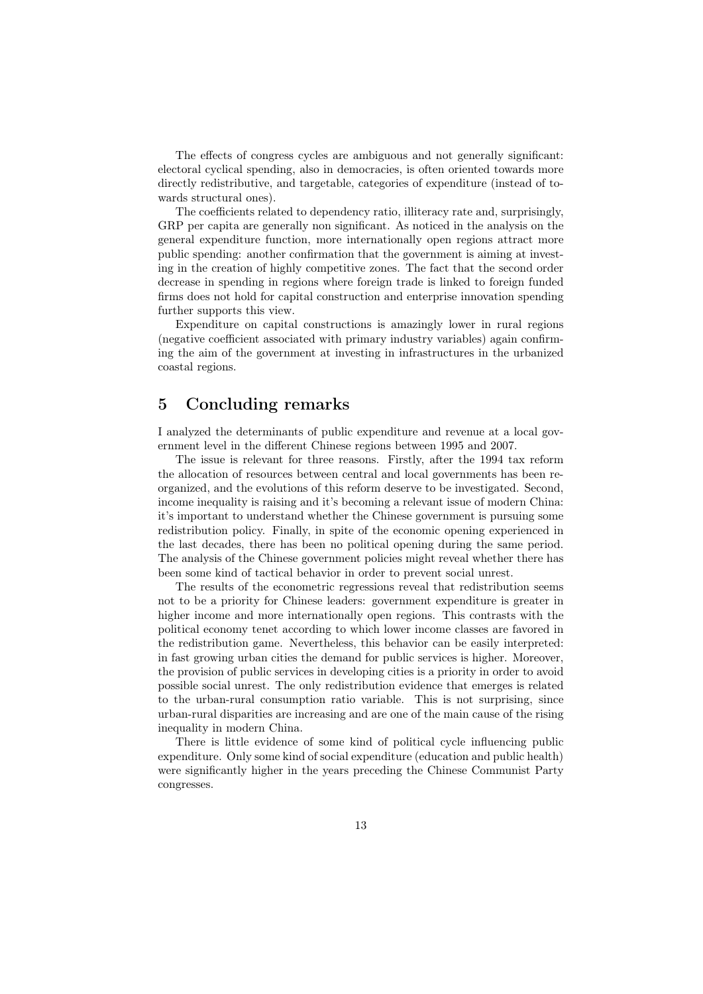The effects of congress cycles are ambiguous and not generally significant: electoral cyclical spending, also in democracies, is often oriented towards more directly redistributive, and targetable, categories of expenditure (instead of towards structural ones).

The coefficients related to dependency ratio, illiteracy rate and, surprisingly, GRP per capita are generally non significant. As noticed in the analysis on the general expenditure function, more internationally open regions attract more public spending: another confirmation that the government is aiming at investing in the creation of highly competitive zones. The fact that the second order decrease in spending in regions where foreign trade is linked to foreign funded firms does not hold for capital construction and enterprise innovation spending further supports this view.

Expenditure on capital constructions is amazingly lower in rural regions (negative coefficient associated with primary industry variables) again confirming the aim of the government at investing in infrastructures in the urbanized coastal regions.

## 5 Concluding remarks

I analyzed the determinants of public expenditure and revenue at a local government level in the different Chinese regions between 1995 and 2007.

The issue is relevant for three reasons. Firstly, after the 1994 tax reform the allocation of resources between central and local governments has been reorganized, and the evolutions of this reform deserve to be investigated. Second, income inequality is raising and it's becoming a relevant issue of modern China: it's important to understand whether the Chinese government is pursuing some redistribution policy. Finally, in spite of the economic opening experienced in the last decades, there has been no political opening during the same period. The analysis of the Chinese government policies might reveal whether there has been some kind of tactical behavior in order to prevent social unrest.

The results of the econometric regressions reveal that redistribution seems not to be a priority for Chinese leaders: government expenditure is greater in higher income and more internationally open regions. This contrasts with the political economy tenet according to which lower income classes are favored in the redistribution game. Nevertheless, this behavior can be easily interpreted: in fast growing urban cities the demand for public services is higher. Moreover, the provision of public services in developing cities is a priority in order to avoid possible social unrest. The only redistribution evidence that emerges is related to the urban-rural consumption ratio variable. This is not surprising, since urban-rural disparities are increasing and are one of the main cause of the rising inequality in modern China.

There is little evidence of some kind of political cycle influencing public expenditure. Only some kind of social expenditure (education and public health) were significantly higher in the years preceding the Chinese Communist Party congresses.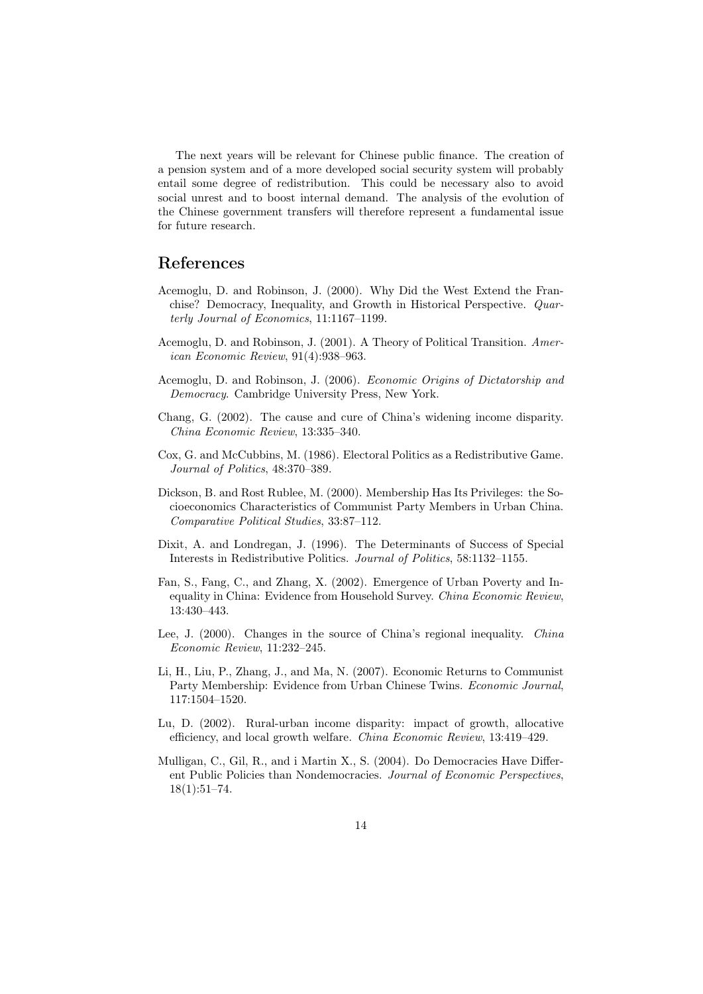The next years will be relevant for Chinese public finance. The creation of a pension system and of a more developed social security system will probably entail some degree of redistribution. This could be necessary also to avoid social unrest and to boost internal demand. The analysis of the evolution of the Chinese government transfers will therefore represent a fundamental issue for future research.

## References

- Acemoglu, D. and Robinson, J. (2000). Why Did the West Extend the Franchise? Democracy, Inequality, and Growth in Historical Perspective. *Quarterly Journal of Economics*, 11:1167–1199.
- Acemoglu, D. and Robinson, J. (2001). A Theory of Political Transition. *American Economic Review*, 91(4):938–963.
- Acemoglu, D. and Robinson, J. (2006). *Economic Origins of Dictatorship and Democracy*. Cambridge University Press, New York.
- Chang, G. (2002). The cause and cure of China's widening income disparity. *China Economic Review*, 13:335–340.
- Cox, G. and McCubbins, M. (1986). Electoral Politics as a Redistributive Game. *Journal of Politics*, 48:370–389.
- Dickson, B. and Rost Rublee, M. (2000). Membership Has Its Privileges: the Socioeconomics Characteristics of Communist Party Members in Urban China. *Comparative Political Studies*, 33:87–112.
- Dixit, A. and Londregan, J. (1996). The Determinants of Success of Special Interests in Redistributive Politics. *Journal of Politics*, 58:1132–1155.
- Fan, S., Fang, C., and Zhang, X. (2002). Emergence of Urban Poverty and Inequality in China: Evidence from Household Survey. *China Economic Review*, 13:430–443.
- Lee, J. (2000). Changes in the source of China's regional inequality. *China Economic Review*, 11:232–245.
- Li, H., Liu, P., Zhang, J., and Ma, N. (2007). Economic Returns to Communist Party Membership: Evidence from Urban Chinese Twins. *Economic Journal*, 117:1504–1520.
- Lu, D. (2002). Rural-urban income disparity: impact of growth, allocative efficiency, and local growth welfare. *China Economic Review*, 13:419–429.
- Mulligan, C., Gil, R., and i Martin X., S. (2004). Do Democracies Have Different Public Policies than Nondemocracies. *Journal of Economic Perspectives*, 18(1):51–74.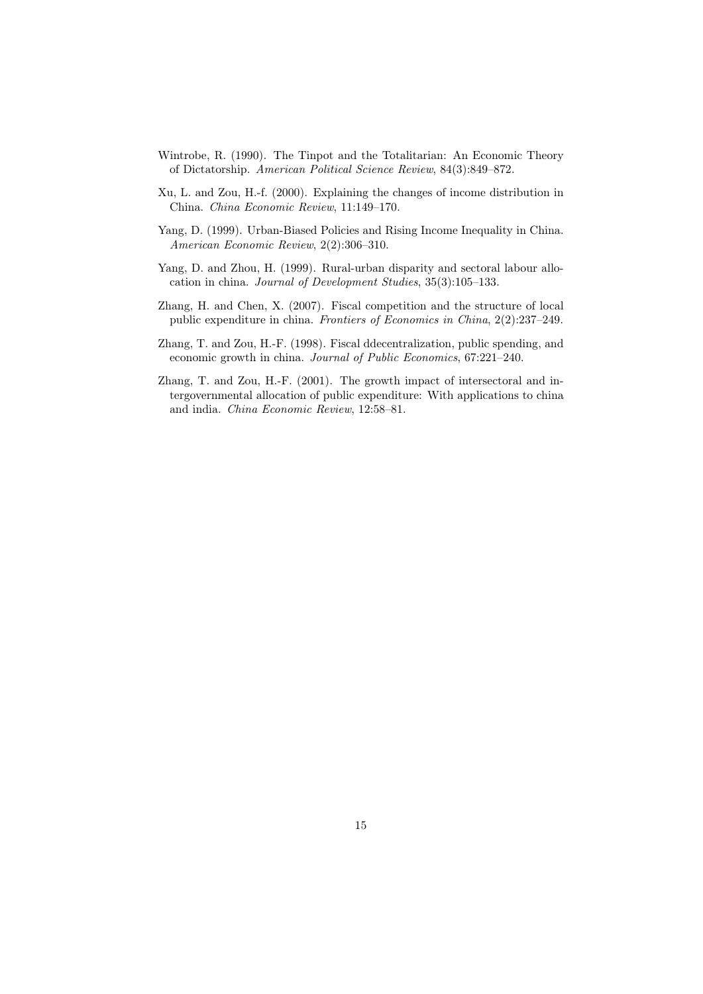- Wintrobe, R. (1990). The Tinpot and the Totalitarian: An Economic Theory of Dictatorship. *American Political Science Review*, 84(3):849–872.
- Xu, L. and Zou, H.-f. (2000). Explaining the changes of income distribution in China. *China Economic Review*, 11:149–170.
- Yang, D. (1999). Urban-Biased Policies and Rising Income Inequality in China. *American Economic Review*, 2(2):306–310.
- Yang, D. and Zhou, H. (1999). Rural-urban disparity and sectoral labour allocation in china. *Journal of Development Studies*, 35(3):105–133.
- Zhang, H. and Chen, X. (2007). Fiscal competition and the structure of local public expenditure in china. *Frontiers of Economics in China*, 2(2):237–249.
- Zhang, T. and Zou, H.-F. (1998). Fiscal ddecentralization, public spending, and economic growth in china. *Journal of Public Economics*, 67:221–240.
- Zhang, T. and Zou, H.-F. (2001). The growth impact of intersectoral and intergovernmental allocation of public expenditure: With applications to china and india. *China Economic Review*, 12:58–81.